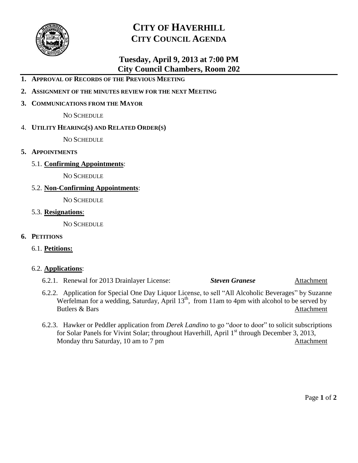

# **CITY OF HAVERHILL CITY COUNCIL AGENDA**

# **Tuesday, April 9, 2013 at 7:00 PM City Council Chambers, Room 202**

- **1. APPROVAL OF RECORDS OF THE PREVIOUS MEETING**
- **2. ASSIGNMENT OF THE MINUTES REVIEW FOR THE NEXT MEETING**
- **3. COMMUNICATIONS FROM THE MAYOR**

NO SCHEDULE

4. **UTILITY HEARING(S) AND RELATED ORDER(S)**

NO SCHEDULE

- **5. APPOINTMENTS**
	- 5.1. **Confirming Appointments**:

NO SCHEDULE

5.2. **Non-Confirming Appointments**:

NO SCHEDULE

5.3. **Resignations**:

NO SCHEDULE

# **6. PETITIONS**

# 6.1. **Petitions:**

# 6.2. **Applications**:

6.2.1. Renewal for 2013 Drainlayer License: *Steven Granese* Attachment

- 6.2.2. Application for Special One Day Liquor License, to sell "All Alcoholic Beverages" by Suzanne Werfelman for a wedding, Saturday, April  $13<sup>th</sup>$ , from 11am to 4pm with alcohol to be served by Butlers & Bars Attachment
- 6.2.3. Hawker or Peddler application from *Derek Landino* to go "door to door" to solicit subscriptions for Solar Panels for Vivint Solar; throughout Haverhill, April  $1<sup>st</sup>$  through December 3, 2013, Monday thru Saturday, 10 am to 7 pm Attachment